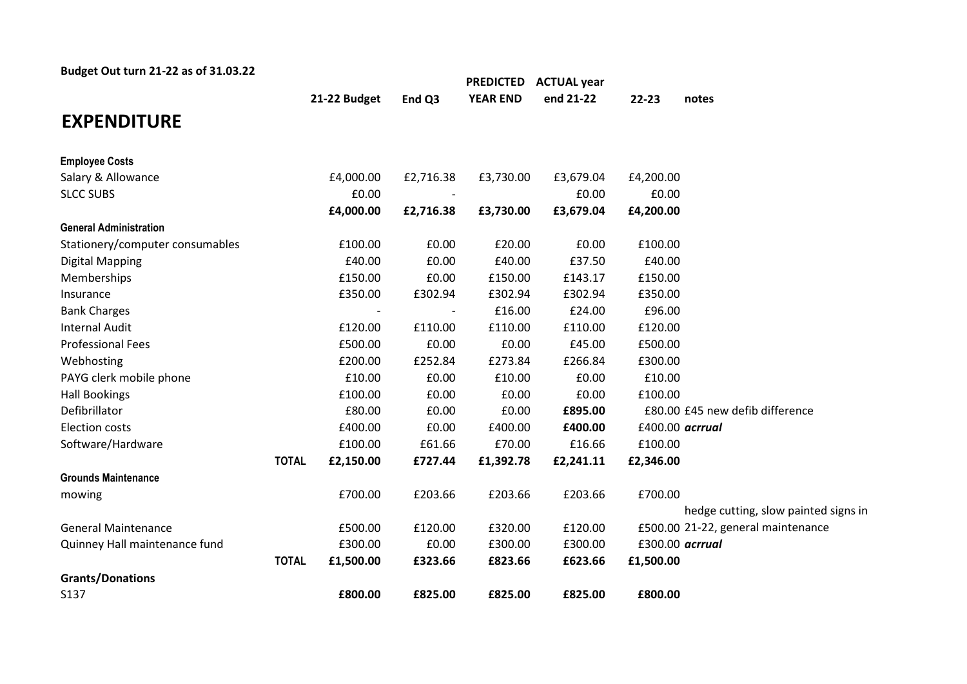| Budget Out turn 21-22 as of 31.03.22 |              |              |           | <b>PREDICTED</b> | <b>ACTUAL year</b> |           |                                      |
|--------------------------------------|--------------|--------------|-----------|------------------|--------------------|-----------|--------------------------------------|
|                                      |              | 21-22 Budget | End Q3    | <b>YEAR END</b>  | end 21-22          | $22 - 23$ | notes                                |
| <b>EXPENDITURE</b>                   |              |              |           |                  |                    |           |                                      |
| <b>Employee Costs</b>                |              |              |           |                  |                    |           |                                      |
| Salary & Allowance                   |              | £4,000.00    | £2,716.38 | £3,730.00        | £3,679.04          | £4,200.00 |                                      |
| <b>SLCC SUBS</b>                     |              | £0.00        |           |                  | £0.00              | £0.00     |                                      |
|                                      |              | £4,000.00    | £2,716.38 | £3,730.00        | £3,679.04          | £4,200.00 |                                      |
| <b>General Administration</b>        |              |              |           |                  |                    |           |                                      |
| Stationery/computer consumables      |              | £100.00      | £0.00     | £20.00           | £0.00              | £100.00   |                                      |
| <b>Digital Mapping</b>               |              | £40.00       | £0.00     | £40.00           | £37.50             | £40.00    |                                      |
| Memberships                          |              | £150.00      | £0.00     | £150.00          | £143.17            | £150.00   |                                      |
| Insurance                            |              | £350.00      | £302.94   | £302.94          | £302.94            | £350.00   |                                      |
| <b>Bank Charges</b>                  |              |              |           | £16.00           | £24.00             | £96.00    |                                      |
| <b>Internal Audit</b>                |              | £120.00      | £110.00   | £110.00          | £110.00            | £120.00   |                                      |
| <b>Professional Fees</b>             |              | £500.00      | £0.00     | £0.00            | £45.00             | £500.00   |                                      |
| Webhosting                           |              | £200.00      | £252.84   | £273.84          | £266.84            | £300.00   |                                      |
| PAYG clerk mobile phone              |              | £10.00       | £0.00     | £10.00           | £0.00              | £10.00    |                                      |
| <b>Hall Bookings</b>                 |              | £100.00      | £0.00     | £0.00            | £0.00              | £100.00   |                                      |
| Defibrillator                        |              | £80.00       | £0.00     | £0.00            | £895.00            |           | £80.00 £45 new defib difference      |
| <b>Election costs</b>                |              | £400.00      | £0.00     | £400.00          | £400.00            |           | £400.00 acrrual                      |
| Software/Hardware                    |              | £100.00      | £61.66    | £70.00           | £16.66             | £100.00   |                                      |
|                                      | <b>TOTAL</b> | £2,150.00    | £727.44   | £1,392.78        | £2,241.11          | £2,346.00 |                                      |
| <b>Grounds Maintenance</b>           |              |              |           |                  |                    |           |                                      |
| mowing                               |              | £700.00      | £203.66   | £203.66          | £203.66            | £700.00   |                                      |
|                                      |              |              |           |                  |                    |           | hedge cutting, slow painted signs in |
| <b>General Maintenance</b>           |              | £500.00      | £120.00   | £320.00          | £120.00            |           | £500.00 21-22, general maintenance   |
| Quinney Hall maintenance fund        |              | £300.00      | £0.00     | £300.00          | £300.00            |           | £300.00 acrrual                      |
|                                      | <b>TOTAL</b> | £1,500.00    | £323.66   | £823.66          | £623.66            | £1,500.00 |                                      |
| <b>Grants/Donations</b>              |              |              |           |                  |                    |           |                                      |
| S137                                 |              | £800.00      | £825.00   | £825.00          | £825.00            | £800.00   |                                      |